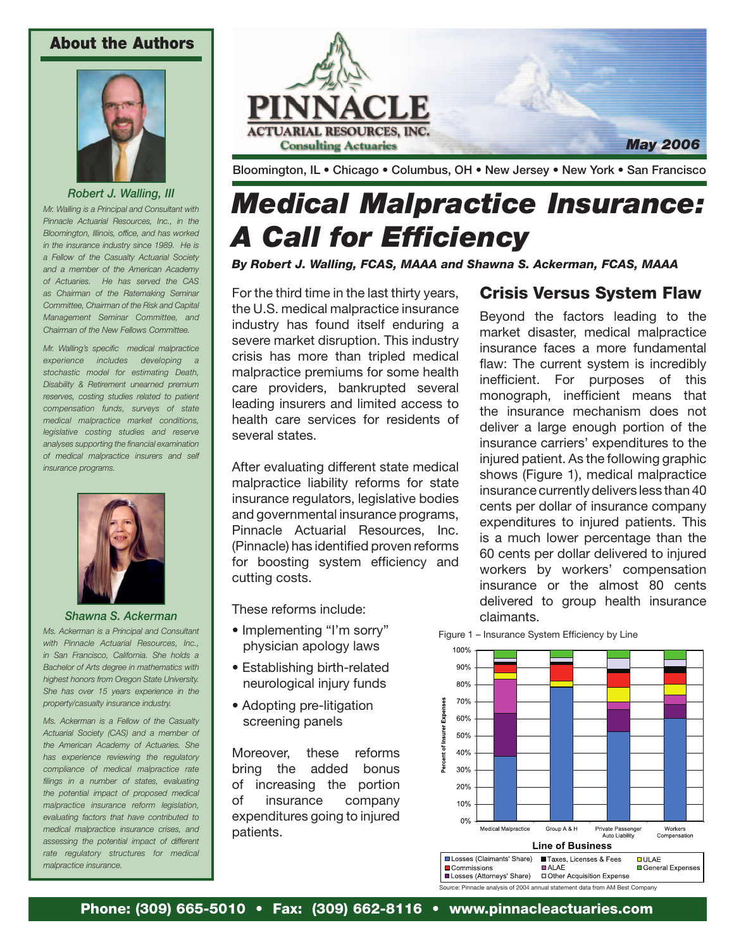#### About the Authors



*Robert J. Walling, III*

*Mr. Walling is a Principal and Consultant with Pinnacle Actuarial Resources, Inc., in the Bloomington, Illinois, office, and has worked in the insurance industry since 1989. He is a Fellow of the Casualty Actuarial Society and a member of the American Academy of Actuaries. He has served the CAS as Chairman of the Ratemaking Seminar Committee, Chairman of the Risk and Capital Management Seminar Committee, and Chairman of the New Fellows Committee.*

*Mr. Walling's specific medical malpractice experience includes developing a stochastic model for estimating Death, Disability & Retirement unearned premium reserves, costing studies related to patient compensation funds, surveys of state medical malpractice market conditions, legislative costing studies and reserve analyses supporting the financial examination of medical malpractice insurers and self insurance programs.*



#### *Shawna S. Ackerman*

*Ms. Ackerman is a Principal and Consultant with Pinnacle Actuarial Resources, Inc., in San Francisco, California. She holds a Bachelor of Arts degree in mathematics with highest honors from Oregon State University. She has over 15 years experience in the property/casualty insurance industry.*

*Ms. Ackerman is a Fellow of the Casualty Actuarial Society (CAS) and a member of the American Academy of Actuaries. She has experience reviewing the regulatory compliance of medical malpractice rate filings in a number of states, evaluating the potential impact of proposed medical malpractice insurance reform legislation, evaluating factors that have contributed to medical malpractice insurance crises, and assessing the potential impact of different rate regulatory structures for medical malpractice insurance.*



Bloomington, IL • Chicago • Columbus, OH • New Jersey • New York • San Francisco

# *Medical Malpractice Insurance: A Call for Efficiency*

*By Robert J. Walling, FCAS, MAAA and Shawna S. Ackerman, FCAS, MAAA*

For the third time in the last thirty years, the U.S. medical malpractice insurance industry has found itself enduring a severe market disruption. This industry crisis has more than tripled medical malpractice premiums for some health care providers, bankrupted several leading insurers and limited access to health care services for residents of several states.

After evaluating different state medical malpractice liability reforms for state insurance regulators, legislative bodies and governmental insurance programs, Pinnacle Actuarial Resources, Inc. (Pinnacle) has identified proven reforms for boosting system efficiency and cutting costs.

These reforms include:

- Implementing "I'm sorry" physician apology laws
- Establishing birth-related neurological injury funds
- Adopting pre-litigation screening panels

Moreover, these reforms bring the added bonus of increasing the portion of insurance company expenditures going to injured patients.

## Crisis Versus System Flaw

Beyond the factors leading to the market disaster, medical malpractice insurance faces a more fundamental flaw: The current system is incredibly inefficient. For purposes of this monograph, inefficient means that the insurance mechanism does not deliver a large enough portion of the insurance carriers' expenditures to the injured patient. As the following graphic shows (Figure 1), medical malpractice insurance currently delivers less than 40 cents per dollar of insurance company expenditures to injured patients. This is a much lower percentage than the 60 cents per dollar delivered to injured workers by workers' compensation insurance or the almost 80 cents delivered to group health insurance claimants.

Figure 1 – Insurance System Efficiency by Line



Source: Pinnacle analysis of 2004 annual statement data from AM Best Company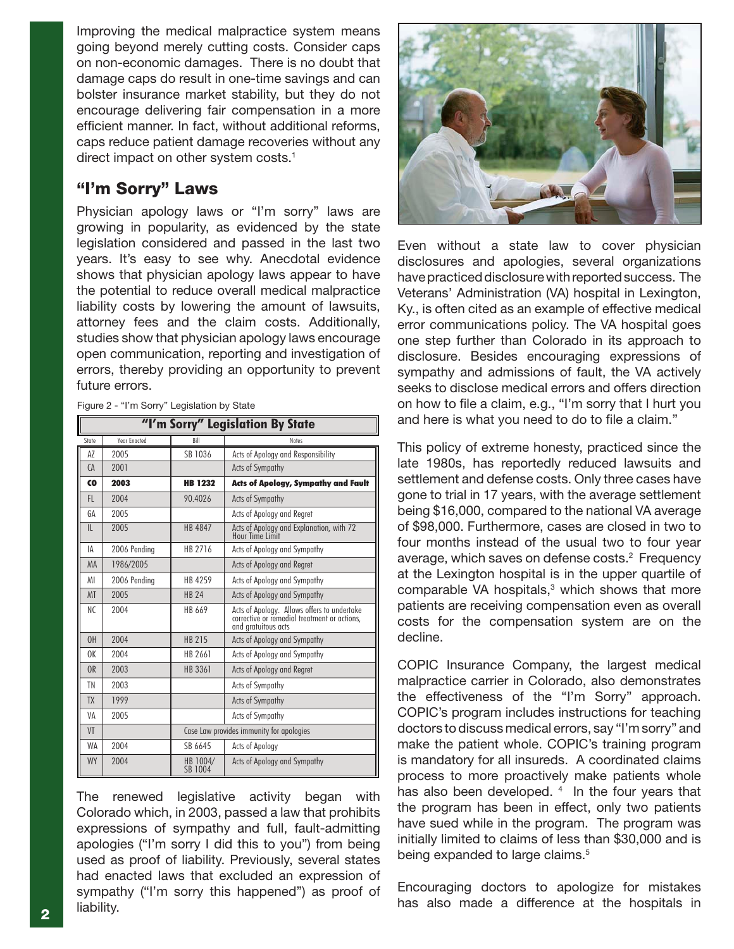Improving the medical malpractice system means going beyond merely cutting costs. Consider caps on non-economic damages. There is no doubt that damage caps do result in one-time savings and can bolster insurance market stability, but they do not encourage delivering fair compensation in a more efficient manner. In fact, without additional reforms, caps reduce patient damage recoveries without any direct impact on other system costs.<sup>1</sup>

### "I'm Sorry" Laws

Physician apology laws or "I'm sorry" laws are growing in popularity, as evidenced by the state legislation considered and passed in the last two years. It's easy to see why. Anecdotal evidence shows that physician apology laws appear to have the potential to reduce overall medical malpractice liability costs by lowering the amount of lawsuits, attorney fees and the claim costs. Additionally, studies show that physician apology laws encourage open communication, reporting and investigation of errors, thereby providing an opportunity to prevent future errors.

| "I'm Sorry" Legislation By State |              |                                          |                                                                                                                    |
|----------------------------------|--------------|------------------------------------------|--------------------------------------------------------------------------------------------------------------------|
| State                            | Year Enacted | Bill                                     | <b>Notes</b>                                                                                                       |
| AZ                               | 2005         | SB 1036                                  | Acts of Apology and Responsibility                                                                                 |
| CA                               | 2001         |                                          | <b>Acts of Sympathy</b>                                                                                            |
| CO                               | 2003         | <b>HB 1232</b>                           | <b>Acts of Apology, Sympathy and Fault</b>                                                                         |
| FL.                              | 2004         | 90.4026                                  | <b>Acts of Sympathy</b>                                                                                            |
| GA                               | 2005         |                                          | Acts of Apology and Regret                                                                                         |
| $\mathsf{II}$                    | 2005         | <b>HB 4847</b>                           | Acts of Apology and Explanation, with 72<br>Hour Time Limit                                                        |
| ΙA                               | 2006 Pending | HB 2716                                  | Acts of Apology and Sympathy                                                                                       |
| <b>MA</b>                        | 1986/2005    |                                          | Acts of Apology and Regret                                                                                         |
| MI                               | 2006 Pendina | HB 4259                                  | Acts of Apology and Sympathy                                                                                       |
| <b>MT</b>                        | 2005         | <b>HB 24</b>                             | Acts of Apology and Sympathy                                                                                       |
| NC.                              | 2004         | HB 669                                   | Acts of Apology. Allows offers to undertake<br>corrective or remedial treatment or actions.<br>and aratuitous acts |
| 0H                               | 2004         | <b>HB 215</b>                            | Acts of Apology and Sympathy                                                                                       |
| 0K                               | 2004         | HB 2661                                  | Acts of Apology and Sympathy                                                                                       |
| OR                               | 2003         | HB 3361                                  | Acts of Apology and Regret                                                                                         |
| ΤN                               | 2003         |                                          | Acts of Sympathy                                                                                                   |
| <b>TX</b>                        | 1999         |                                          | <b>Acts of Sympathy</b>                                                                                            |
| VA                               | 2005         |                                          | Acts of Sympathy                                                                                                   |
| VT                               |              | Case Law provides immunity for apologies |                                                                                                                    |
| <b>WA</b>                        | 2004         | SB 6645                                  | Acts of Apology                                                                                                    |
| <b>WY</b>                        | 2004         | HB 1004/<br>SB 1004                      | Acts of Apology and Sympathy                                                                                       |

Figure 2 - "I'm Sorry" Legislation by State

The renewed legislative activity began with Colorado which, in 2003, passed a law that prohibits expressions of sympathy and full, fault-admitting apologies ("I'm sorry I did this to you") from being used as proof of liability. Previously, several states had enacted laws that excluded an expression of sympathy ("I'm sorry this happened") as proof of liability. **2** liability.



Even without a state law to cover physician disclosures and apologies, several organizations have practiced disclosure with reported success. The Veterans' Administration (VA) hospital in Lexington, Ky., is often cited as an example of effective medical error communications policy. The VA hospital goes one step further than Colorado in its approach to disclosure. Besides encouraging expressions of sympathy and admissions of fault, the VA actively seeks to disclose medical errors and offers direction on how to file a claim, e.g., "I'm sorry that I hurt you and here is what you need to do to file a claim."

This policy of extreme honesty, practiced since the late 1980s, has reportedly reduced lawsuits and settlement and defense costs. Only three cases have gone to trial in 17 years, with the average settlement being \$16,000, compared to the national VA average of \$98,000. Furthermore, cases are closed in two to four months instead of the usual two to four year average, which saves on defense costs.<sup>2</sup> Frequency at the Lexington hospital is in the upper quartile of comparable VA hospitals, $3$  which shows that more patients are receiving compensation even as overall costs for the compensation system are on the decline.

COPIC Insurance Company, the largest medical malpractice carrier in Colorado, also demonstrates the effectiveness of the "I'm Sorry" approach. COPIC's program includes instructions for teaching doctors to discuss medical errors, say "I'm sorry" and make the patient whole. COPIC's training program is mandatory for all insureds. A coordinated claims process to more proactively make patients whole has also been developed. <sup>4</sup> In the four years that the program has been in effect, only two patients have sued while in the program. The program was initially limited to claims of less than \$30,000 and is being expanded to large claims.<sup>5</sup>

Encouraging doctors to apologize for mistakes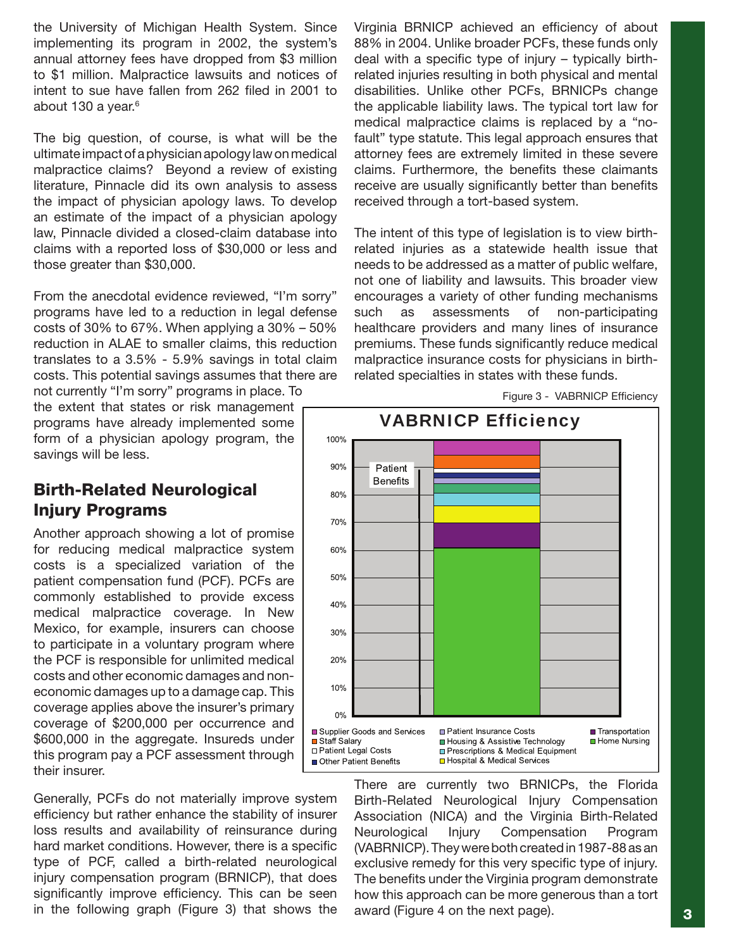the University of Michigan Health System. Since implementing its program in 2002, the system's annual attorney fees have dropped from \$3 million to \$1 million. Malpractice lawsuits and notices of intent to sue have fallen from 262 filed in 2001 to about 130 a year.<sup>6</sup>

The big question, of course, is what will be the ultimate impact of a physician apology law on medical malpractice claims? Beyond a review of existing literature, Pinnacle did its own analysis to assess the impact of physician apology laws. To develop an estimate of the impact of a physician apology law, Pinnacle divided a closed-claim database into claims with a reported loss of \$30,000 or less and those greater than \$30,000.

From the anecdotal evidence reviewed, "I'm sorry" programs have led to a reduction in legal defense costs of 30% to 67%. When applying a  $30\%$  –  $50\%$ reduction in ALAE to smaller claims, this reduction translates to a 3.5% - 5.9% savings in total claim costs. This potential savings assumes that there are not currently "I'm sorry" programs in place. To

the extent that states or risk management programs have already implemented some form of a physician apology program, the savings will be less.

### Birth-Related Neurological Injury Programs

Another approach showing a lot of promise for reducing medical malpractice system costs is a specialized variation of the patient compensation fund (PCF). PCFs are commonly established to provide excess medical malpractice coverage. In New Mexico, for example, insurers can choose to participate in a voluntary program where the PCF is responsible for unlimited medical costs and other economic damages and noneconomic damages up to a damage cap. This coverage applies above the insurer's primary coverage of \$200,000 per occurrence and \$600,000 in the aggregate. Insureds under this program pay a PCF assessment through their insurer.

Generally, PCFs do not materially improve system efficiency but rather enhance the stability of insurer loss results and availability of reinsurance during hard market conditions. However, there is a specific type of PCF, called a birth-related neurological injury compensation program (BRNICP), that does significantly improve efficiency. This can be seen in the following graph (Figure 3) that shows the Virginia BRNICP achieved an efficiency of about 88% in 2004. Unlike broader PCFs, these funds only deal with a specific type of injury – typically birthrelated injuries resulting in both physical and mental disabilities. Unlike other PCFs, BRNICPs change the applicable liability laws. The typical tort law for medical malpractice claims is replaced by a "nofault" type statute. This legal approach ensures that attorney fees are extremely limited in these severe claims. Furthermore, the benefits these claimants receive are usually significantly better than benefits received through a tort-based system.

The intent of this type of legislation is to view birthrelated injuries as a statewide health issue that needs to be addressed as a matter of public welfare, not one of liability and lawsuits. This broader view encourages a variety of other funding mechanisms such as assessments of non-participating healthcare providers and many lines of insurance premiums. These funds significantly reduce medical malpractice insurance costs for physicians in birthrelated specialties in states with these funds.



Figure 3 - VABRNICP Efficiency

There are currently two BRNICPs, the Florida Birth-Related Neurological Injury Compensation Association (NICA) and the Virginia Birth-Related Neurological Injury Compensation Program (VABRNICP). They were both created in 1987-88 as an exclusive remedy for this very specific type of injury. The benefits under the Virginia program demonstrate how this approach can be more generous than a tort award (Figure 4 on the next page).  $\begin{array}{|c|c|}\n\hline\n3\n\end{array}$